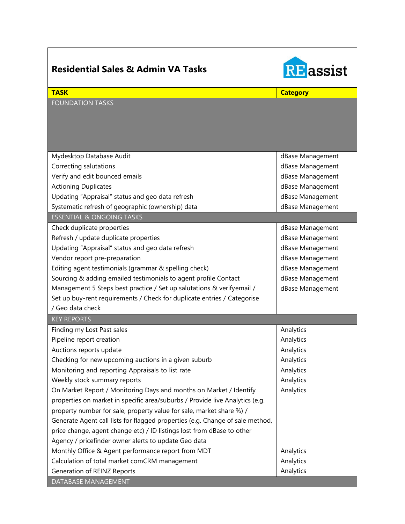| <b>Residential Sales &amp; Admin VA Tasks</b>                                 | <b>RE</b> assist |
|-------------------------------------------------------------------------------|------------------|
| <b>TASK</b>                                                                   | <b>Category</b>  |
| <b>FOUNDATION TASKS</b>                                                       |                  |
| Mydesktop Database Audit                                                      | dBase Management |
| Correcting salutations                                                        | dBase Management |
| Verify and edit bounced emails                                                | dBase Management |
| <b>Actioning Duplicates</b>                                                   | dBase Management |
| Updating "Appraisal" status and geo data refresh                              | dBase Management |
| Systematic refresh of geographic (ownership) data                             | dBase Management |
| <b>ESSENTIAL &amp; ONGOING TASKS</b>                                          |                  |
| Check duplicate properties                                                    | dBase Management |
| Refresh / update duplicate properties                                         | dBase Management |
| Updating "Appraisal" status and geo data refresh                              | dBase Management |
| Vendor report pre-preparation                                                 | dBase Management |
| Editing agent testimonials (grammar & spelling check)                         | dBase Management |
| Sourcing & adding emailed testimonials to agent profile Contact               | dBase Management |
| Management 5 Steps best practice / Set up salutations & verifyemail /         | dBase Management |
| Set up buy-rent requirements / Check for duplicate entries / Categorise       |                  |
| / Geo data check                                                              |                  |
| <b>KEY REPORTS</b>                                                            |                  |
| Finding my Lost Past sales                                                    | Analytics        |
| Pipeline report creation                                                      | Analytics        |
| Auctions reports update                                                       | Analytics        |
| Checking for new upcoming auctions in a given suburb                          | Analytics        |
| Monitoring and reporting Appraisals to list rate                              | Analytics        |
| Weekly stock summary reports                                                  | Analytics        |
| On Market Report / Monitoring Days and months on Market / Identify            | Analytics        |
| properties on market in specific area/suburbs / Provide live Analytics (e.g.  |                  |
| property number for sale, property value for sale, market share %) /          |                  |
| Generate Agent call lists for flagged properties (e.g. Change of sale method, |                  |
| price change, agent change etc) / ID listings lost from dBase to other        |                  |
| Agency / pricefinder owner alerts to update Geo data                          |                  |
| Monthly Office & Agent performance report from MDT                            | Analytics        |
| Calculation of total market comCRM management                                 | Analytics        |
| Generation of REINZ Reports                                                   | Analytics        |
| DATABASE MANAGEMENT                                                           |                  |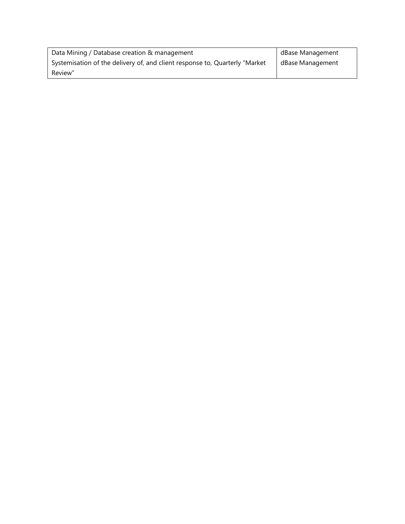| Data Mining / Database creation & management                                 | dBase Management |
|------------------------------------------------------------------------------|------------------|
| Systemisation of the delivery of, and client response to, Quarterly "Market" | dBase Management |
| Review"                                                                      |                  |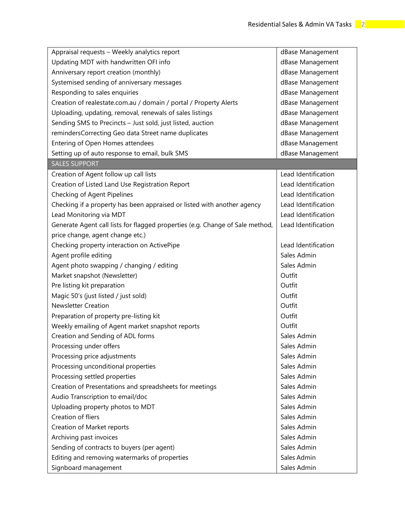| Appraisal requests - Weekly analytics report                                  | dBase Management    |
|-------------------------------------------------------------------------------|---------------------|
| Updating MDT with handwritten OFI info                                        | dBase Management    |
| Anniversary report creation (monthly)                                         | dBase Management    |
| Systemised sending of anniversary messages                                    | dBase Management    |
| Responding to sales enquiries                                                 | dBase Management    |
| Creation of realestate.com.au / domain / portal / Property Alerts             | dBase Management    |
| Uploading, updating, removal, renewals of sales listings                      | dBase Management    |
| Sending SMS to Precincts - Just sold, just listed, auction                    | dBase Management    |
| remindersCorrecting Geo data Street name duplicates                           | dBase Management    |
| Entering of Open Homes attendees                                              | dBase Management    |
| Setting up of auto response to email, bulk SMS                                | dBase Management    |
| <b>SALES SUPPORT</b>                                                          |                     |
| Creation of Agent follow up call lists                                        | Lead Identification |
| Creation of Listed Land Use Registration Report                               | Lead Identification |
| Checking of Agent Pipelines                                                   | Lead Identification |
| Checking if a property has been appraised or listed with another agency       | Lead Identification |
| Lead Monitoring via MDT                                                       | Lead Identification |
| Generate Agent call lists for flagged properties (e.g. Change of Sale method, | Lead Identification |
| price change, agent change etc.)                                              |                     |
| Checking property interaction on ActivePipe                                   | Lead Identification |
| Agent profile editing                                                         | Sales Admin         |
| Agent photo swapping / changing / editing                                     | Sales Admin         |
| Market snapshot (Newsletter)                                                  | Outfit              |
| Pre listing kit preparation                                                   | Outfit              |
| Magic 50's (just listed / just sold)                                          | Outfit              |
| <b>Newsletter Creation</b>                                                    | Outfit              |
| Preparation of property pre-listing kit                                       | Outfit              |
| Weekly emailing of Agent market snapshot reports                              | Outfit              |
| Creation and Sending of ADL forms                                             | Sales Admin         |
| Processing under offers                                                       | Sales Admin         |
| Processing price adjustments                                                  | Sales Admin         |
| Processing unconditional properties                                           | Sales Admin         |
| Processing settled properties                                                 | Sales Admin         |
| Creation of Presentations and spreadsheets for meetings                       | Sales Admin         |
| Audio Transcription to email/doc                                              | Sales Admin         |
| Uploading property photos to MDT                                              | Sales Admin         |
| Creation of fliers                                                            | Sales Admin         |
| Creation of Market reports                                                    | Sales Admin         |
| Archiving past invoices                                                       | Sales Admin         |
| Sending of contracts to buyers (per agent)                                    | Sales Admin         |
| Editing and removing watermarks of properties                                 | Sales Admin         |
| Signboard management                                                          | Sales Admin         |